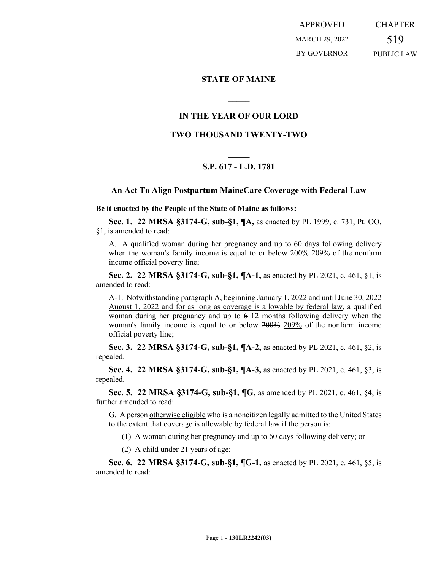APPROVED MARCH 29, 2022 BY GOVERNOR CHAPTER 519 PUBLIC LAW

#### **STATE OF MAINE**

## **IN THE YEAR OF OUR LORD**

**\_\_\_\_\_**

### **TWO THOUSAND TWENTY-TWO**

# **\_\_\_\_\_ S.P. 617 - L.D. 1781**

#### **An Act To Align Postpartum MaineCare Coverage with Federal Law**

**Be it enacted by the People of the State of Maine as follows:**

**Sec. 1. 22 MRSA §3174-G, sub-§1, ¶A,** as enacted by PL 1999, c. 731, Pt. OO, §1, is amended to read:

A. A qualified woman during her pregnancy and up to 60 days following delivery when the woman's family income is equal to or below 200% 209% of the nonfarm income official poverty line;

**Sec. 2. 22 MRSA §3174-G, sub-§1, ¶A-1,** as enacted by PL 2021, c. 461, §1, is amended to read:

A-1. Notwithstanding paragraph A, beginning January 1, 2022 and until June 30, 2022 August 1, 2022 and for as long as coverage is allowable by federal law, a qualified woman during her pregnancy and up to  $6\frac{12}{2}$  months following delivery when the woman's family income is equal to or below 200% 209% of the nonfarm income official poverty line;

**Sec. 3. 22 MRSA §3174-G, sub-§1, ¶A-2,** as enacted by PL 2021, c. 461, §2, is repealed.

**Sec. 4. 22 MRSA §3174-G, sub-§1, ¶A-3,** as enacted by PL 2021, c. 461, §3, is repealed.

**Sec. 5. 22 MRSA §3174-G, sub-§1, ¶G,** as amended by PL 2021, c. 461, §4, is further amended to read:

G. A person otherwise eligible who is a noncitizen legally admitted to the United States to the extent that coverage is allowable by federal law if the person is:

(1) A woman during her pregnancy and up to 60 days following delivery; or

(2) A child under 21 years of age;

**Sec. 6. 22 MRSA §3174-G, sub-§1, ¶G-1,** as enacted by PL 2021, c. 461, §5, is amended to read: